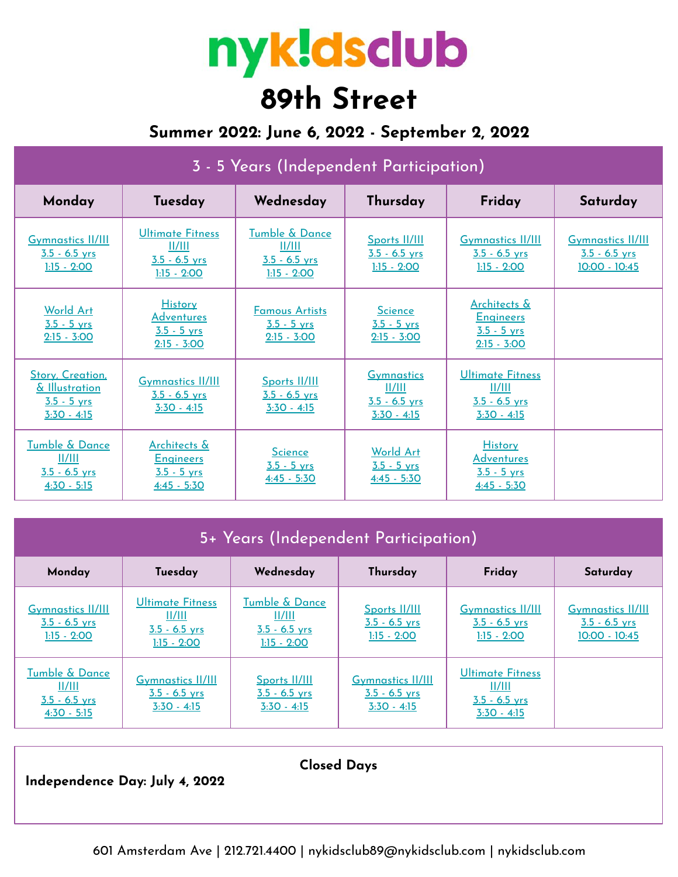# nyk!dsclub **89th Street**

## **Summer 2022: June 6, 2022 - September 2, 2022**

## 3 - 5 Years (Independent Participation)

| Monday                                                                    | Tuesday                                                               | Wednesday                                                    | Thursday                                                        | Friday                                                                | Saturday                                                       |
|---------------------------------------------------------------------------|-----------------------------------------------------------------------|--------------------------------------------------------------|-----------------------------------------------------------------|-----------------------------------------------------------------------|----------------------------------------------------------------|
| <b>Gymnastics II/III</b><br>$3.5 - 6.5$ yrs<br>$1:15 - 2:00$              | Ultimate Fitness<br>  /   <br>$3.5 - 6.5$ vrs<br>$1:15 - 2:00$        | Tumble & Dance<br>  /   <br>$3.5 - 6.5$ yrs<br>$1:15 - 2:00$ | Sports II/III<br>$3.5 - 6.5$ yrs<br>$1:15 - 2:00$               | <b>Gymnastics II/III</b><br>$3.5 - 6.5$ yrs<br>$1:15 - 2:00$          | <b>Gymnastics II/III</b><br>$3.5 - 6.5$ yrs<br>$10:00 - 10:45$ |
| <b>World Art</b><br>$3.5 - 5$ vrs<br>$2:15 - 3:00$                        | <b>History</b><br><b>Adventures</b><br>$3.5 - 5$ vrs<br>$2:15 - 3:00$ | <b>Famous Artists</b><br>$3.5 - 5$ vrs<br>$2:15 - 3:00$      | <b>Science</b><br>$3.5 - 5$ yrs<br>$2:15 - 3:00$                | Architects &<br><b>Engineers</b><br>$3.5 - 5$ yrs<br>$2:15 - 3:00$    |                                                                |
| Story, Creation,<br>& Illustration<br>$3.5 - 5$ yrs<br>$3:30 - 4:15$      | <b>Gymnastics II/III</b><br>$3.5 - 6.5$ yrs<br>$3:30 - 4:15$          | Sports II/III<br>$3.5 - 6.5$ yrs<br>$3:30 - 4:15$            | <b>Gymnastics</b><br>  /   <br>$3.5 - 6.5$ yrs<br>$3:30 - 4:15$ | <b>Ultimate Fitness</b><br>II/III<br>$3.5 - 6.5$ yrs<br>$3:30 - 4:15$ |                                                                |
| Tumble & Dance<br>$\frac{  /   }{  }$<br>$3.5 - 6.5$ yrs<br>$4:30 - 5:15$ | Architects &<br><b>Engineers</b><br>$3.5 - 5$ yrs<br>$4:45 - 5:30$    | <b>Science</b><br>$3.5 - 5$ yrs<br>$4:45 - 5:30$             | World Art<br>$3.5 - 5$ yrs<br>$4:45 - 5:30$                     | <b>History</b><br><b>Adventures</b><br>$3.5 - 5$ yrs<br>$4:45 - 5:30$ |                                                                |

| 5+ Years (Independent Participation)                                                 |                                                                |                                                              |                                                              |                                                                       |                                                              |  |  |  |
|--------------------------------------------------------------------------------------|----------------------------------------------------------------|--------------------------------------------------------------|--------------------------------------------------------------|-----------------------------------------------------------------------|--------------------------------------------------------------|--|--|--|
| Monday                                                                               | Tuesday                                                        | Wednesday                                                    | Thursday                                                     | Friday                                                                | Saturday                                                     |  |  |  |
| <b>Gymnastics II/III</b><br>$3.5 - 6.5$ yrs<br>$1:15 - 2:00$                         | Ultimate Fitness<br>  /   <br>$3.5 - 6.5$ yrs<br>$1:15 - 2:00$ | Tumble & Dance<br>  /   <br>$3.5 - 6.5$ yrs<br>$1:15 - 2:00$ | Sports II/III<br>$3.5 - 6.5$ yrs<br>$1:15 - 2:00$            | <b>Gymnastics II/III</b><br>$3.5 - 6.5$ yrs<br>$1:15 - 2:00$          | <b>Gymnastics II/III</b><br>$3.5 - 6.5$ yrs<br>10:00 - 10:45 |  |  |  |
| <b>Tumble &amp; Dance</b><br>$\frac{  /   }{  }$<br>$3.5 - 6.5$ yrs<br>$4:30 - 5:15$ | <b>Gymnastics II/III</b><br>$3.5 - 6.5$ yrs<br>$3:30 - 4:15$   | Sports II/III<br>$3.5 - 6.5$ yrs<br>$3:30 - 4:15$            | <b>Gymnastics II/III</b><br>$3.5 - 6.5$ yrs<br>$3:30 - 4:15$ | <b>Ultimate Fitness</b><br>II/III<br>$3.5 - 6.5$ yrs<br>$3:30 - 4:15$ |                                                              |  |  |  |

**Independence Day: July 4, 2022**

601 Amsterdam Ave | 212.721.4400 | nykidsclub89@nykidsclub.com | nykidsclub.com

**Closed Days**